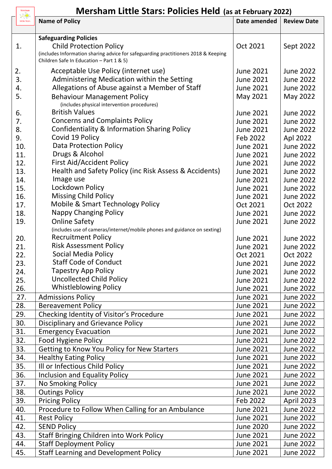## **Mersham Little Stars: Policies Held (as at February 2022)**

| Mersham<br>$\Rightarrow$ | <b>Mersham Little Stars: Policies Held (as at February 2022)</b>                                                                                                 |                  |                    |  |
|--------------------------|------------------------------------------------------------------------------------------------------------------------------------------------------------------|------------------|--------------------|--|
| <b>Little Stars</b>      | <b>Name of Policy</b>                                                                                                                                            | Date amended     | <b>Review Date</b> |  |
|                          | <b>Safeguarding Policies</b>                                                                                                                                     |                  |                    |  |
| 1.                       | <b>Child Protection Policy</b><br>(includes Information sharing advice for safeguarding practitioners 2018 & Keeping<br>Children Safe In Education - Part 1 & 5) | Oct 2021         | Sept 2022          |  |
| 2.                       | Acceptable Use Policy (internet use)                                                                                                                             | <b>June 2021</b> | <b>June 2022</b>   |  |
| 3.                       | Administering Medication within the Setting                                                                                                                      | <b>June 2021</b> | <b>June 2022</b>   |  |
| 4.                       | Allegations of Abuse against a Member of Staff                                                                                                                   | <b>June 2021</b> | <b>June 2022</b>   |  |
| 5.                       | <b>Behaviour Management Policy</b><br>(includes physical intervention procedures)                                                                                | May 2021         | May 2022           |  |
| 6.                       | <b>British Values</b>                                                                                                                                            | <b>June 2021</b> | <b>June 2022</b>   |  |
| 7.                       | <b>Concerns and Complaints Policy</b>                                                                                                                            | <b>June 2021</b> | <b>June 2022</b>   |  |
| 8.                       | Confidentiality & Information Sharing Policy                                                                                                                     | <b>June 2021</b> | <b>June 2022</b>   |  |
| 9.                       | Covid 19 Policy                                                                                                                                                  | Feb 2022         | Apl 2022           |  |
| 10.                      | <b>Data Protection Policy</b>                                                                                                                                    | <b>June 2021</b> | <b>June 2022</b>   |  |
| 11.                      | Drugs & Alcohol                                                                                                                                                  | <b>June 2021</b> | <b>June 2022</b>   |  |
| 12.                      | <b>First Aid/Accident Policy</b>                                                                                                                                 | <b>June 2021</b> | <b>June 2022</b>   |  |
| 13.                      | Health and Safety Policy (inc Risk Assess & Accidents)                                                                                                           | <b>June 2021</b> | <b>June 2022</b>   |  |
| 14.                      | Image use                                                                                                                                                        | <b>June 2021</b> | <b>June 2022</b>   |  |
| 15.                      | Lockdown Policy                                                                                                                                                  | <b>June 2021</b> | <b>June 2022</b>   |  |
| 16.                      | <b>Missing Child Policy</b>                                                                                                                                      | <b>June 2021</b> | <b>June 2022</b>   |  |
| 17.                      | <b>Mobile &amp; Smart Technology Policy</b>                                                                                                                      | Oct 2021         | Oct 2022           |  |
| 18.                      | <b>Nappy Changing Policy</b>                                                                                                                                     | <b>June 2021</b> | <b>June 2022</b>   |  |
| 19.                      | <b>Online Safety</b>                                                                                                                                             | <b>June 2021</b> | <b>June 2022</b>   |  |
|                          | (includes use of cameras/internet/mobile phones and guidance on sexting)                                                                                         |                  |                    |  |
| 20.                      | <b>Recruitment Policy</b>                                                                                                                                        | <b>June 2021</b> | <b>June 2022</b>   |  |
| 21.                      | <b>Risk Assessment Policy</b>                                                                                                                                    | <b>June 2021</b> | <b>June 2022</b>   |  |
| 22.                      | Social Media Policy                                                                                                                                              | Oct 2021         | Oct 2022           |  |
| 23.                      | <b>Staff Code of Conduct</b>                                                                                                                                     | <b>June 2021</b> | <b>June 2022</b>   |  |
| 24.                      | <b>Tapestry App Policy</b>                                                                                                                                       | <b>June 2021</b> | <b>June 2022</b>   |  |
| 25.                      | <b>Uncollected Child Policy</b>                                                                                                                                  | <b>June 2021</b> | <b>June 2022</b>   |  |
| 26.                      | <b>Whistleblowing Policy</b>                                                                                                                                     | <b>June 2021</b> | <b>June 2022</b>   |  |
| 27.                      | <b>Admissions Policy</b>                                                                                                                                         | <b>June 2021</b> | <b>June 2022</b>   |  |
| 28.                      | <b>Bereavement Policy</b>                                                                                                                                        | <b>June 2021</b> | <b>June 2022</b>   |  |
| 29.                      | Checking Identity of Visitor's Procedure                                                                                                                         | <b>June 2021</b> | <b>June 2022</b>   |  |
| 30.                      | <b>Disciplinary and Grievance Policy</b>                                                                                                                         | <b>June 2021</b> | <b>June 2022</b>   |  |
| 31.                      | <b>Emergency Evacuation</b>                                                                                                                                      | <b>June 2021</b> | <b>June 2022</b>   |  |
| 32.                      | Food Hygiene Policy                                                                                                                                              | <b>June 2021</b> | <b>June 2022</b>   |  |
| 33.                      | Getting to Know You Policy for New Starters                                                                                                                      | <b>June 2021</b> | <b>June 2022</b>   |  |
| 34.                      | <b>Healthy Eating Policy</b>                                                                                                                                     | <b>June 2021</b> | <b>June 2022</b>   |  |
| 35.                      | Ill or Infectious Child Policy                                                                                                                                   | <b>June 2021</b> | <b>June 2022</b>   |  |
| 36.                      | <b>Inclusion and Equality Policy</b>                                                                                                                             | <b>June 2021</b> | <b>June 2022</b>   |  |
| 37.                      | No Smoking Policy                                                                                                                                                | <b>June 2021</b> | <b>June 2022</b>   |  |
| 38.                      | <b>Outings Policy</b>                                                                                                                                            | <b>June 2021</b> | <b>June 2022</b>   |  |
| 39.                      | <b>Pricing Policy</b>                                                                                                                                            | Feb 2022         | April 2023         |  |
| 40.                      | Procedure to Follow When Calling for an Ambulance                                                                                                                | <b>June 2021</b> | <b>June 2022</b>   |  |
| 41.                      | <b>Rest Policy</b>                                                                                                                                               | <b>June 2021</b> | <b>June 2022</b>   |  |
| 42.                      | <b>SEND Policy</b>                                                                                                                                               | <b>June 2020</b> | <b>June 2022</b>   |  |
| 43.                      | Staff Bringing Children into Work Policy                                                                                                                         | <b>June 2021</b> | <b>June 2022</b>   |  |
| 44.                      | <b>Staff Deployment Policy</b>                                                                                                                                   | <b>June 2021</b> | <b>June 2022</b>   |  |
| 45.                      | <b>Staff Learning and Development Policy</b>                                                                                                                     | <b>June 2021</b> | <b>June 2022</b>   |  |